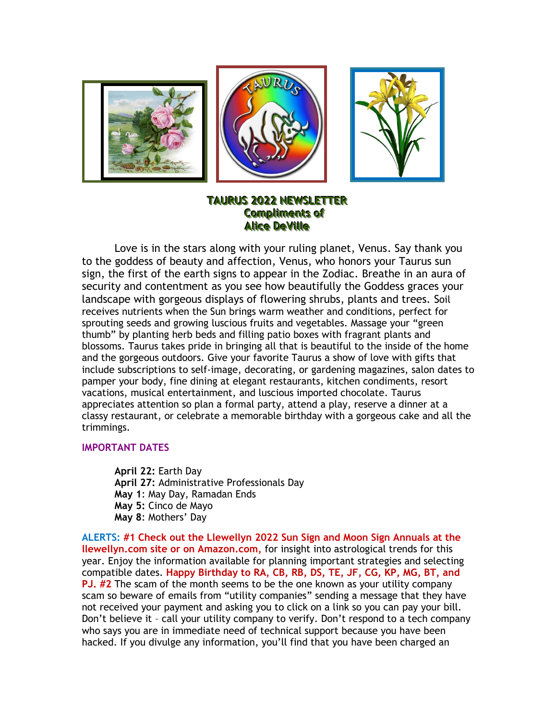

# **TAURUS 2022 NEWSLETTER Compliments of Alice DeVille**

Love is in the stars along with your ruling planet, Venus. Say thank you to the goddess of beauty and affection, Venus, who honors your Taurus sun sign, the first of the earth signs to appear in the Zodiac. Breathe in an aura of security and contentment as you see how beautifully the Goddess graces your landscape with gorgeous displays of flowering shrubs, plants and trees. Soil receives nutrients when the Sun brings warm weather and conditions, perfect for sprouting seeds and growing luscious fruits and vegetables. Massage your "green thumb" by planting herb beds and filling patio boxes with fragrant plants and blossoms. Taurus takes pride in bringing all that is beautiful to the inside of the home and the gorgeous outdoors. Give your favorite Taurus a show of love with gifts that include subscriptions to self-image, decorating, or gardening magazines, salon dates to pamper your body, fine dining at elegant restaurants, kitchen condiments, resort vacations, musical entertainment, and luscious imported chocolate. Taurus appreciates attention so plan a formal party, attend a play, reserve a dinner at a classy restaurant, or celebrate a memorable birthday with a gorgeous cake and all the trimmings.

### **IMPORTANT DATES**

**April 22:** Earth Day **April 27:** Administrative Professionals Day **May 1**: May Day, Ramadan Ends **May 5:** Cinco de Mayo **May 8**: Mothers' Day

**ALERTS: #1 Check out the Llewellyn 2022 Sun Sign and Moon Sign Annuals at the llewellyn.com site or on Amazon.com,** for insight into astrological trends for this year. Enjoy the information available for planning important strategies and selecting compatible dates. **Happy Birthday to RA, CB, RB, DS, TE, JF, CG, KP, MG, BT, and PJ. #2** The scam of the month seems to be the one known as your utility company scam so beware of emails from "utility companies" sending a message that they have not received your payment and asking you to click on a link so you can pay your bill. Don't believe it – call your utility company to verify. Don't respond to a tech company who says you are in immediate need of technical support because you have been hacked. If you divulge any information, you'll find that you have been charged an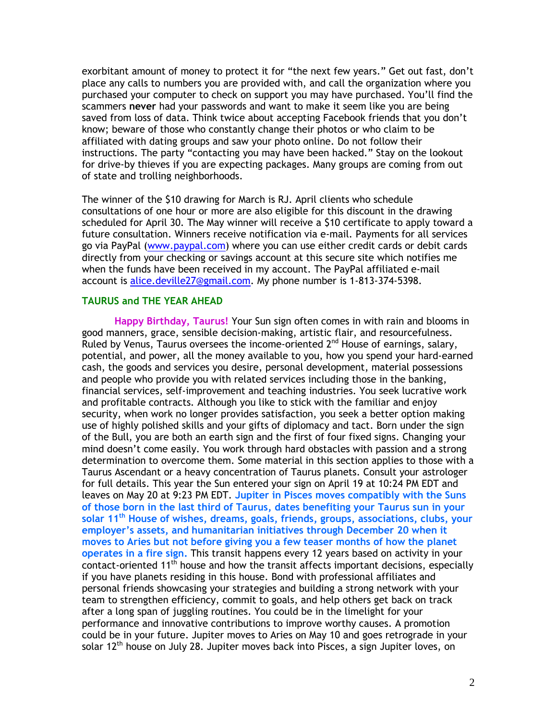exorbitant amount of money to protect it for "the next few years." Get out fast, don't place any calls to numbers you are provided with, and call the organization where you purchased your computer to check on support you may have purchased. You'll find the scammers **never** had your passwords and want to make it seem like you are being saved from loss of data. Think twice about accepting Facebook friends that you don't know; beware of those who constantly change their photos or who claim to be affiliated with dating groups and saw your photo online. Do not follow their instructions. The party "contacting you may have been hacked." Stay on the lookout for drive-by thieves if you are expecting packages. Many groups are coming from out of state and trolling neighborhoods.

The winner of the \$10 drawing for March is RJ. April clients who schedule consultations of one hour or more are also eligible for this discount in the drawing scheduled for April 30. The May winner will receive a \$10 certificate to apply toward a future consultation. Winners receive notification via e-mail. Payments for all services go via PayPal [\(www.paypal.com\)](http://www.paypal.com/) where you can use either credit cards or debit cards directly from your checking or savings account at this secure site which notifies me when the funds have been received in my account. The PayPal affiliated e-mail account is [alice.deville27@gmail.com.](mailto:alice.deville27@gmail.com) My phone number is 1-813-374-5398.

## **TAURUS and THE YEAR AHEAD**

**Happy Birthday, Taurus!** Your Sun sign often comes in with rain and blooms in good manners, grace, sensible decision-making, artistic flair, and resourcefulness. Ruled by Venus, Taurus oversees the income-oriented  $2^{nd}$  House of earnings, salary, potential, and power, all the money available to you, how you spend your hard-earned cash, the goods and services you desire, personal development, material possessions and people who provide you with related services including those in the banking, financial services, self-improvement and teaching industries. You seek lucrative work and profitable contracts. Although you like to stick with the familiar and enjoy security, when work no longer provides satisfaction, you seek a better option making use of highly polished skills and your gifts of diplomacy and tact. Born under the sign of the Bull, you are both an earth sign and the first of four fixed signs. Changing your mind doesn't come easily. You work through hard obstacles with passion and a strong determination to overcome them. Some material in this section applies to those with a Taurus Ascendant or a heavy concentration of Taurus planets. Consult your astrologer for full details. This year the Sun entered your sign on April 19 at 10:24 PM EDT and leaves on May 20 at 9:23 PM EDT. **Jupiter in Pisces moves compatibly with the Suns of those born in the last third of Taurus, dates benefiting your Taurus sun in your solar 11th House of wishes, dreams, goals, friends, groups, associations, clubs, your employer's assets, and humanitarian initiatives through December 20 when it moves to Aries but not before giving you a few teaser months of how the planet operates in a fire sign.** This transit happens every 12 years based on activity in your contact-oriented 11<sup>th</sup> house and how the transit affects important decisions, especially if you have planets residing in this house. Bond with professional affiliates and personal friends showcasing your strategies and building a strong network with your team to strengthen efficiency, commit to goals, and help others get back on track after a long span of juggling routines. You could be in the limelight for your performance and innovative contributions to improve worthy causes. A promotion could be in your future. Jupiter moves to Aries on May 10 and goes retrograde in your solar 12<sup>th</sup> house on July 28. Jupiter moves back into Pisces, a sign Jupiter loves, on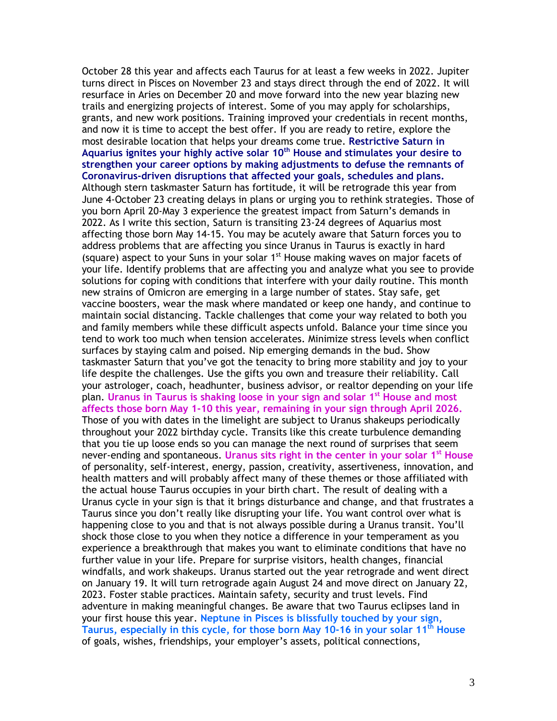October 28 this year and affects each Taurus for at least a few weeks in 2022. Jupiter turns direct in Pisces on November 23 and stays direct through the end of 2022. It will resurface in Aries on December 20 and move forward into the new year blazing new trails and energizing projects of interest. Some of you may apply for scholarships, grants, and new work positions. Training improved your credentials in recent months, and now it is time to accept the best offer. If you are ready to retire, explore the most desirable location that helps your dreams come true. **Restrictive Saturn in Aquarius ignites your highly active solar 10th House and stimulates your desire to strengthen your career options by making adjustments to defuse the remnants of Coronavirus-driven disruptions that affected your goals, schedules and plans.**  Although stern taskmaster Saturn has fortitude, it will be retrograde this year from June 4-October 23 creating delays in plans or urging you to rethink strategies. Those of you born April 20-May 3 experience the greatest impact from Saturn's demands in 2022. As I write this section, Saturn is transiting 23-24 degrees of Aquarius most affecting those born May 14-15. You may be acutely aware that Saturn forces you to address problems that are affecting you since Uranus in Taurus is exactly in hard (square) aspect to your Suns in your solar  $1<sup>st</sup>$  House making waves on major facets of your life. Identify problems that are affecting you and analyze what you see to provide solutions for coping with conditions that interfere with your daily routine. This month new strains of Omicron are emerging in a large number of states. Stay safe, get vaccine boosters, wear the mask where mandated or keep one handy, and continue to maintain social distancing. Tackle challenges that come your way related to both you and family members while these difficult aspects unfold. Balance your time since you tend to work too much when tension accelerates. Minimize stress levels when conflict surfaces by staying calm and poised. Nip emerging demands in the bud. Show taskmaster Saturn that you've got the tenacity to bring more stability and joy to your life despite the challenges. Use the gifts you own and treasure their reliability. Call your astrologer, coach, headhunter, business advisor, or realtor depending on your life plan. **Uranus in Taurus is shaking loose in your sign and solar 1st House and most affects those born May 1-10 this year, remaining in your sign through April 2026.** Those of you with dates in the limelight are subject to Uranus shakeups periodically throughout your 2022 birthday cycle. Transits like this create turbulence demanding that you tie up loose ends so you can manage the next round of surprises that seem never-ending and spontaneous. **Uranus sits right in the center in your solar 1st House** of personality, self-interest, energy, passion, creativity, assertiveness, innovation, and health matters and will probably affect many of these themes or those affiliated with the actual house Taurus occupies in your birth chart. The result of dealing with a Uranus cycle in your sign is that it brings disturbance and change, and that frustrates a Taurus since you don't really like disrupting your life. You want control over what is happening close to you and that is not always possible during a Uranus transit. You'll shock those close to you when they notice a difference in your temperament as you experience a breakthrough that makes you want to eliminate conditions that have no further value in your life. Prepare for surprise visitors, health changes, financial windfalls, and work shakeups. Uranus started out the year retrograde and went direct on January 19. It will turn retrograde again August 24 and move direct on January 22, 2023. Foster stable practices. Maintain safety, security and trust levels. Find adventure in making meaningful changes. Be aware that two Taurus eclipses land in your first house this year. **Neptune in Pisces is blissfully touched by your sign, Taurus, especially in this cycle, for those born May 10-16 in your solar 11 th House** of goals, wishes, friendships, your employer's assets, political connections,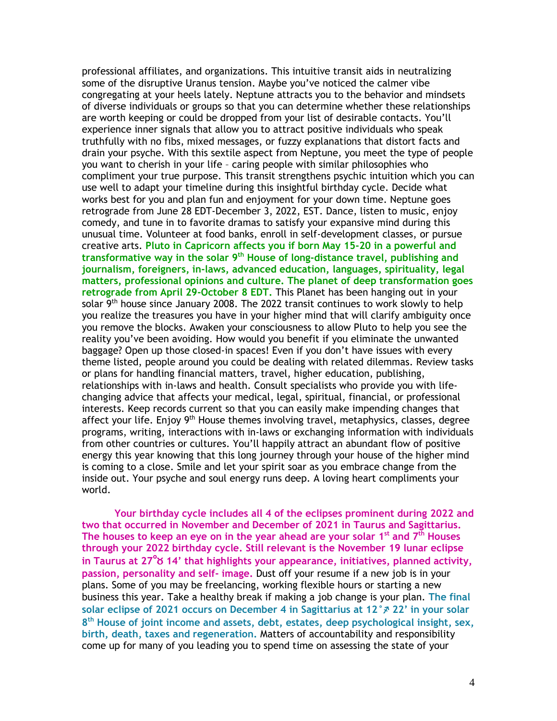professional affiliates, and organizations. This intuitive transit aids in neutralizing some of the disruptive Uranus tension. Maybe you've noticed the calmer vibe congregating at your heels lately. Neptune attracts you to the behavior and mindsets of diverse individuals or groups so that you can determine whether these relationships are worth keeping or could be dropped from your list of desirable contacts. You'll experience inner signals that allow you to attract positive individuals who speak truthfully with no fibs, mixed messages, or fuzzy explanations that distort facts and drain your psyche. With this sextile aspect from Neptune, you meet the type of people you want to cherish in your life – caring people with similar philosophies who compliment your true purpose. This transit strengthens psychic intuition which you can use well to adapt your timeline during this insightful birthday cycle. Decide what works best for you and plan fun and enjoyment for your down time. Neptune goes retrograde from June 28 EDT-December 3, 2022, EST. Dance, listen to music, enjoy comedy, and tune in to favorite dramas to satisfy your expansive mind during this unusual time. Volunteer at food banks, enroll in self-development classes, or pursue creative arts. **Pluto in Capricorn affects you if born May 15-20 in a powerful and transformative way in the solar 9th House of long-distance travel, publishing and journalism, foreigners, in-laws, advanced education, languages, spirituality, legal matters, professional opinions and culture. The planet of deep transformation goes retrograde from April 29-October 8 EDT.** This Planet has been hanging out in your solar 9<sup>th</sup> house since January 2008. The 2022 transit continues to work slowly to help you realize the treasures you have in your higher mind that will clarify ambiguity once you remove the blocks. Awaken your consciousness to allow Pluto to help you see the reality you've been avoiding. How would you benefit if you eliminate the unwanted baggage? Open up those closed-in spaces! Even if you don't have issues with every theme listed, people around you could be dealing with related dilemmas. Review tasks or plans for handling financial matters, travel, higher education, publishing, relationships with in-laws and health. Consult specialists who provide you with lifechanging advice that affects your medical, legal, spiritual, financial, or professional interests. Keep records current so that you can easily make impending changes that affect your life. Enjoy 9<sup>th</sup> House themes involving travel, metaphysics, classes, degree programs, writing, interactions with in-laws or exchanging information with individuals from other countries or cultures. You'll happily attract an abundant flow of positive energy this year knowing that this long journey through your house of the higher mind is coming to a close. Smile and let your spirit soar as you embrace change from the inside out. Your psyche and soul energy runs deep. A loving heart compliments your world.

**Your birthday cycle includes all 4 of the eclipses prominent during 2022 and two that occurred in November and December of 2021 in Taurus and Sagittarius. The houses to keep an eye on in the year ahead are your solar 1 st and 7th Houses through your 2022 birthday cycle. Still relevant is the November 19 lunar eclipse in Taurus at 27**°b **14' that highlights your appearance, initiatives, planned activity, passion, personality and self- image.** Dust off your resume if a new job is in your plans. Some of you may be freelancing, working flexible hours or starting a new business this year. Take a healthy break if making a job change is your plan. **The final solar eclipse of 2021 occurs on December 4 in Sagittarius at 12°** $\cancel{x}$  **22' in your solar 8 th House of joint income and assets, debt, estates, deep psychological insight, sex, birth, death, taxes and regeneration.** Matters of accountability and responsibility come up for many of you leading you to spend time on assessing the state of your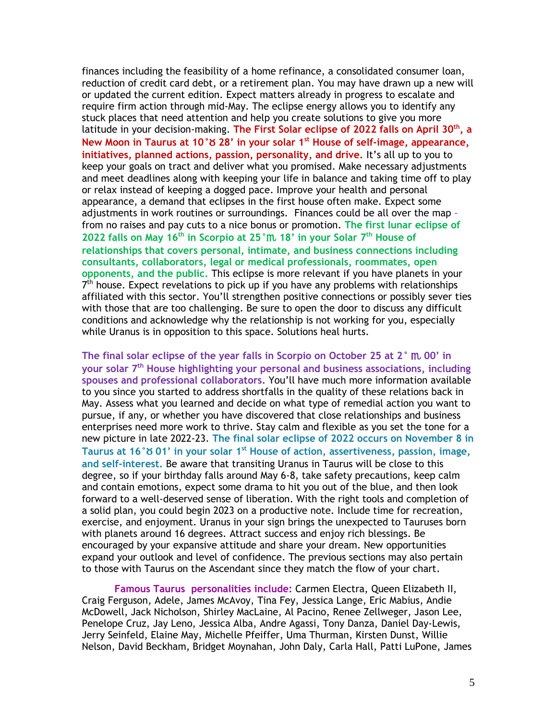finances including the feasibility of a home refinance, a consolidated consumer loan, reduction of credit card debt, or a retirement plan. You may have drawn up a new will or updated the current edition. Expect matters already in progress to escalate and require firm action through mid-May. The eclipse energy allows you to identify any stuck places that need attention and help you create solutions to give you more latitude in your decision-making. **The First Solar eclipse of 2022 falls on April 30th, a New Moon in Taurus at 10°**b **28' in your solar 1 st House of self-image, appearance, initiatives, planned actions, passion, personality, and drive.** It's all up to you to keep your goals on tract and deliver what you promised. Make necessary adjustments and meet deadlines along with keeping your life in balance and taking time off to play or relax instead of keeping a dogged pace. Improve your health and personal appearance, a demand that eclipses in the first house often make. Expect some adjustments in work routines or surroundings. Finances could be all over the map – from no raises and pay cuts to a nice bonus or promotion. **The first lunar eclipse of 2022 falls on May 16 th in Scorpio at 25°**h **18' in your Solar 7 th House of relationships that covers personal, intimate, and business connections including consultants, collaborators, legal or medical professionals, roommates, open opponents, and the public.** This eclipse is more relevant if you have planets in your 7<sup>th</sup> house. Expect revelations to pick up if you have any problems with relationships affiliated with this sector. You'll strengthen positive connections or possibly sever ties with those that are too challenging. Be sure to open the door to discuss any difficult conditions and acknowledge why the relationship is not working for you, especially while Uranus is in opposition to this space. Solutions heal hurts.

**The final solar eclipse of the year falls in Scorpio on October 25 at 2°** h **00' in your solar 7 th House highlighting your personal and business associations, including spouses and professional collaborators.** You'll have much more information available to you since you started to address shortfalls in the quality of these relations back in May. Assess what you learned and decide on what type of remedial action you want to pursue, if any, or whether you have discovered that close relationships and business enterprises need more work to thrive. Stay calm and flexible as you set the tone for a new picture in late 2022-23. **The final solar eclipse of 2022 occurs on November 8 in Taurus at 16°**b **01' in your solar 1 st House of action, assertiveness, passion, image, and self-interest.** Be aware that transiting Uranus in Taurus will be close to this degree, so if your birthday falls around May 6-8, take safety precautions, keep calm and contain emotions, expect some drama to hit you out of the blue, and then look forward to a well-deserved sense of liberation. With the right tools and completion of a solid plan, you could begin 2023 on a productive note. Include time for recreation, exercise, and enjoyment. Uranus in your sign brings the unexpected to Tauruses born with planets around 16 degrees. Attract success and enjoy rich blessings. Be encouraged by your expansive attitude and share your dream. New opportunities expand your outlook and level of confidence. The previous sections may also pertain to those with Taurus on the Ascendant since they match the flow of your chart.

**Famous Taurus personalities include:** Carmen Electra, Queen Elizabeth II, Craig Ferguson, Adele, James McAvoy, Tina Fey, Jessica Lange, Eric Mabius, Andie McDowell, Jack Nicholson, Shirley MacLaine, Al Pacino, Renee Zellweger, Jason Lee, Penelope Cruz, Jay Leno, Jessica Alba, Andre Agassi, Tony Danza, Daniel Day-Lewis, Jerry Seinfeld, Elaine May, Michelle Pfeiffer, Uma Thurman, Kirsten Dunst, Willie Nelson, David Beckham, Bridget Moynahan, John Daly, Carla Hall, Patti LuPone, James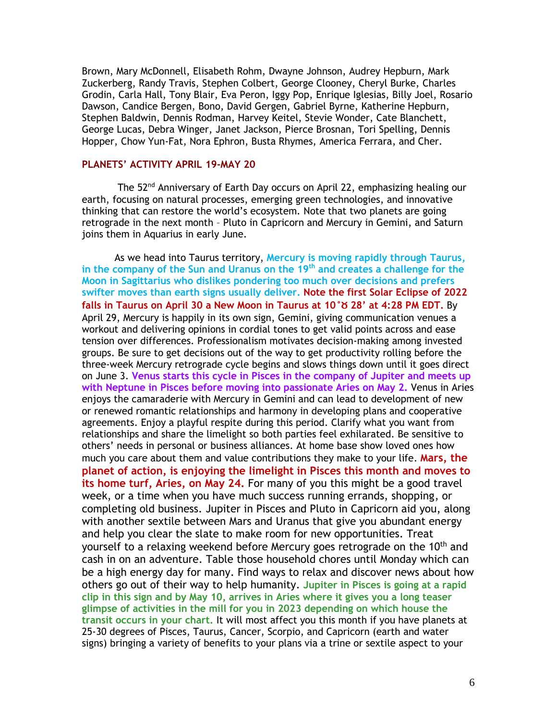Brown, Mary McDonnell, Elisabeth Rohm, Dwayne Johnson, Audrey Hepburn, Mark Zuckerberg, Randy Travis, Stephen Colbert, George Clooney, Cheryl Burke, Charles Grodin, Carla Hall, Tony Blair, Eva Peron, Iggy Pop, Enrique Iglesias, Billy Joel, Rosario Dawson, Candice Bergen, Bono, David Gergen, Gabriel Byrne, Katherine Hepburn, Stephen Baldwin, Dennis Rodman, Harvey Keitel, Stevie Wonder, Cate Blanchett, George Lucas, Debra Winger, Janet Jackson, Pierce Brosnan, Tori Spelling, Dennis Hopper, Chow Yun-Fat, Nora Ephron, Busta Rhymes, America Ferrara, and Cher.

### **PLANETS' ACTIVITY APRIL 19-MAY 20**

The 52<sup>nd</sup> Anniversary of Earth Day occurs on April 22, emphasizing healing our earth, focusing on natural processes, emerging green technologies, and innovative thinking that can restore the world's ecosystem. Note that two planets are going retrograde in the next month – Pluto in Capricorn and Mercury in Gemini, and Saturn joins them in Aquarius in early June.

As we head into Taurus territory, **Mercury is moving rapidly through Taurus, in the company of the Sun and Uranus on the 19th and creates a challenge for the Moon in Sagittarius who dislikes pondering too much over decisions and prefers swifter moves than earth signs usually deliver. Note the first Solar Eclipse of 2022 falls in Taurus on April 30 a New Moon in Taurus at 10°**b **28' at 4:28 PM EDT.** By April 29, Mercury is happily in its own sign, Gemini, giving communication venues a workout and delivering opinions in cordial tones to get valid points across and ease tension over differences. Professionalism motivates decision-making among invested groups. Be sure to get decisions out of the way to get productivity rolling before the three-week Mercury retrograde cycle begins and slows things down until it goes direct on June 3. **Venus starts this cycle in Pisces in the company of Jupiter and meets up with Neptune in Pisces before moving into passionate Aries on May 2.** Venus in Aries enjoys the camaraderie with Mercury in Gemini and can lead to development of new or renewed romantic relationships and harmony in developing plans and cooperative agreements. Enjoy a playful respite during this period. Clarify what you want from relationships and share the limelight so both parties feel exhilarated. Be sensitive to others' needs in personal or business alliances. At home base show loved ones how much you care about them and value contributions they make to your life. **Mars, the planet of action, is enjoying the limelight in Pisces this month and moves to its home turf, Aries, on May 24.** For many of you this might be a good travel week, or a time when you have much success running errands, shopping, or completing old business. Jupiter in Pisces and Pluto in Capricorn aid you, along with another sextile between Mars and Uranus that give you abundant energy and help you clear the slate to make room for new opportunities. Treat yourself to a relaxing weekend before Mercury goes retrograde on the 10<sup>th</sup> and cash in on an adventure. Table those household chores until Monday which can be a high energy day for many. Find ways to relax and discover news about how others go out of their way to help humanity. **Jupiter in Pisces is going at a rapid clip in this sign and by May 10, arrives in Aries where it gives you a long teaser glimpse of activities in the mill for you in 2023 depending on which house the transit occurs in your chart.** It will most affect you this month if you have planets at 25-30 degrees of Pisces, Taurus, Cancer, Scorpio, and Capricorn (earth and water signs) bringing a variety of benefits to your plans via a trine or sextile aspect to your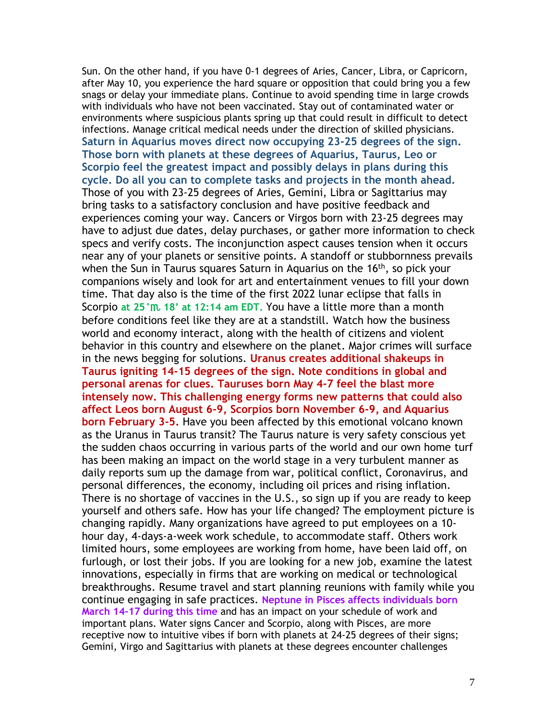Sun. On the other hand, if you have 0-1 degrees of Aries, Cancer, Libra, or Capricorn, after May 10, you experience the hard square or opposition that could bring you a few snags or delay your immediate plans. Continue to avoid spending time in large crowds with individuals who have not been vaccinated. Stay out of contaminated water or environments where suspicious plants spring up that could result in difficult to detect infections. Manage critical medical needs under the direction of skilled physicians. **Saturn in Aquarius moves direct now occupying 23-25 degrees of the sign. Those born with planets at these degrees of Aquarius, Taurus, Leo or Scorpio feel the greatest impact and possibly delays in plans during this cycle. Do all you can to complete tasks and projects in the month ahead.** Those of you with 23-25 degrees of Aries, Gemini, Libra or Sagittarius may bring tasks to a satisfactory conclusion and have positive feedback and experiences coming your way. Cancers or Virgos born with 23-25 degrees may have to adjust due dates, delay purchases, or gather more information to check specs and verify costs. The inconjunction aspect causes tension when it occurs near any of your planets or sensitive points. A standoff or stubbornness prevails when the Sun in Taurus squares Saturn in Aquarius on the 16<sup>th</sup>, so pick your companions wisely and look for art and entertainment venues to fill your down time. That day also is the time of the first 2022 lunar eclipse that falls in Scorpio **at 25°**h **18' at 12:14 am EDT.** You have a little more than a month before conditions feel like they are at a standstill. Watch how the business world and economy interact, along with the health of citizens and violent behavior in this country and elsewhere on the planet. Major crimes will surface in the news begging for solutions. **Uranus creates additional shakeups in Taurus igniting 14-15 degrees of the sign. Note conditions in global and personal arenas for clues. Tauruses born May 4-7 feel the blast more intensely now. This challenging energy forms new patterns that could also affect Leos born August 6-9, Scorpios born November 6-9, and Aquarius born February 3-5.** Have you been affected by this emotional volcano known as the Uranus in Taurus transit? The Taurus nature is very safety conscious yet the sudden chaos occurring in various parts of the world and our own home turf has been making an impact on the world stage in a very turbulent manner as daily reports sum up the damage from war, political conflict, Coronavirus, and personal differences, the economy, including oil prices and rising inflation. There is no shortage of vaccines in the U.S., so sign up if you are ready to keep yourself and others safe. How has your life changed? The employment picture is changing rapidly. Many organizations have agreed to put employees on a 10 hour day, 4-days-a-week work schedule, to accommodate staff. Others work limited hours, some employees are working from home, have been laid off, on furlough, or lost their jobs. If you are looking for a new job, examine the latest innovations, especially in firms that are working on medical or technological breakthroughs. Resume travel and start planning reunions with family while you continue engaging in safe practices. **Neptune in Pisces affects individuals born March 14-17 during this time** and has an impact on your schedule of work and important plans. Water signs Cancer and Scorpio, along with Pisces, are more receptive now to intuitive vibes if born with planets at 24-25 degrees of their signs; Gemini, Virgo and Sagittarius with planets at these degrees encounter challenges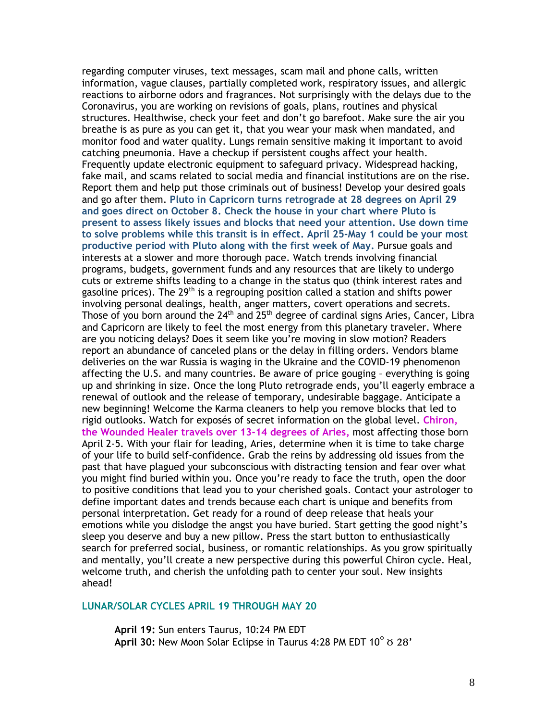regarding computer viruses, text messages, scam mail and phone calls, written information, vague clauses, partially completed work, respiratory issues, and allergic reactions to airborne odors and fragrances. Not surprisingly with the delays due to the Coronavirus, you are working on revisions of goals, plans, routines and physical structures. Healthwise, check your feet and don't go barefoot. Make sure the air you breathe is as pure as you can get it, that you wear your mask when mandated, and monitor food and water quality. Lungs remain sensitive making it important to avoid catching pneumonia. Have a checkup if persistent coughs affect your health. Frequently update electronic equipment to safeguard privacy. Widespread hacking, fake mail, and scams related to social media and financial institutions are on the rise. Report them and help put those criminals out of business! Develop your desired goals and go after them. **Pluto in Capricorn turns retrograde at 28 degrees on April 29 and goes direct on October 8. Check the house in your chart where Pluto is present to assess likely issues and blocks that need your attention. Use down time to solve problems while this transit is in effect. April 25-May 1 could be your most productive period with Pluto along with the first week of May.** Pursue goals and interests at a slower and more thorough pace. Watch trends involving financial programs, budgets, government funds and any resources that are likely to undergo cuts or extreme shifts leading to a change in the status quo (think interest rates and gasoline prices). The 29<sup>th</sup> is a regrouping position called a station and shifts power involving personal dealings, health, anger matters, covert operations and secrets. Those of you born around the 24<sup>th</sup> and 25<sup>th</sup> degree of cardinal signs Aries, Cancer, Libra and Capricorn are likely to feel the most energy from this planetary traveler. Where are you noticing delays? Does it seem like you're moving in slow motion? Readers report an abundance of canceled plans or the delay in filling orders. Vendors blame deliveries on the war Russia is waging in the Ukraine and the COVID-19 phenomenon affecting the U.S. and many countries. Be aware of price gouging – everything is going up and shrinking in size. Once the long Pluto retrograde ends, you'll eagerly embrace a renewal of outlook and the release of temporary, undesirable baggage. Anticipate a new beginning! Welcome the Karma cleaners to help you remove blocks that led to rigid outlooks. Watch for exposés of secret information on the global level. **Chiron, the Wounded Healer travels over 13-14 degrees of Aries,** most affecting those born April 2-5. With your flair for leading, Aries, determine when it is time to take charge of your life to build self-confidence. Grab the reins by addressing old issues from the past that have plagued your subconscious with distracting tension and fear over what you might find buried within you. Once you're ready to face the truth, open the door to positive conditions that lead you to your cherished goals. Contact your astrologer to define important dates and trends because each chart is unique and benefits from personal interpretation. Get ready for a round of deep release that heals your emotions while you dislodge the angst you have buried. Start getting the good night's sleep you deserve and buy a new pillow. Press the start button to enthusiastically search for preferred social, business, or romantic relationships. As you grow spiritually and mentally, you'll create a new perspective during this powerful Chiron cycle. Heal, welcome truth, and cherish the unfolding path to center your soul. New insights ahead!

# **LUNAR/SOLAR CYCLES APRIL 19 THROUGH MAY 20**

**April 19:** Sun enters Taurus, 10:24 PM EDT **April 30: New Moon Solar Eclipse in Taurus 4:28 PM EDT 10°**  $\sigma$  **28'**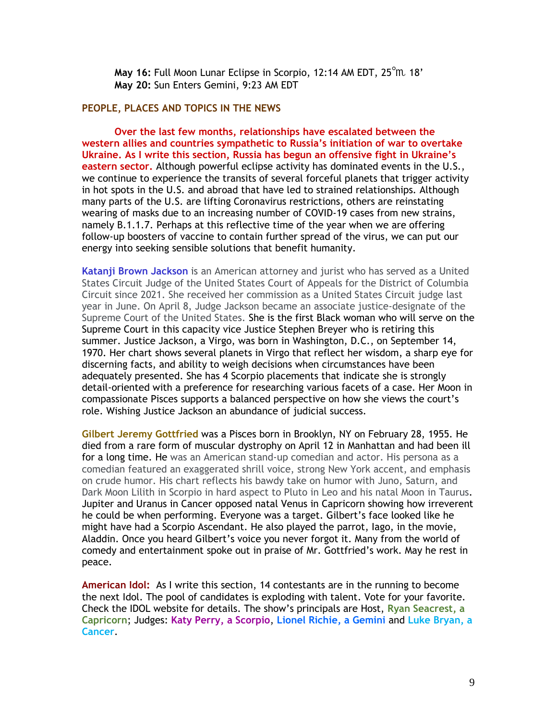**May 16:** Full Moon Lunar Eclipse in Scorpio, 12:14 AM EDT, 25°h 18' **May 20:** Sun Enters Gemini, 9:23 AM EDT

### **PEOPLE, PLACES AND TOPICS IN THE NEWS**

**Over the last few months, relationships have escalated between the western allies and countries sympathetic to Russia's initiation of war to overtake Ukraine. As I write this section, Russia has begun an offensive fight in Ukraine's eastern sector.** Although powerful eclipse activity has dominated events in the U.S., we continue to experience the transits of several forceful planets that trigger activity in hot spots in the U.S. and abroad that have led to strained relationships. Although many parts of the U.S. are lifting Coronavirus restrictions, others are reinstating wearing of masks due to an increasing number of COVID-19 cases from new strains, namely B.1.1.7. Perhaps at this reflective time of the year when we are offering follow-up boosters of vaccine to contain further spread of the virus, we can put our energy into seeking sensible solutions that benefit humanity.

**Katanji Brown Jackson** is an American attorney and jurist who has served as a United States Circuit Judge of the United States Court of Appeals for the District of Columbia Circuit since 2021. She received her commission as a United States Circuit judge last year in June. On April 8, Judge Jackson became an associate justice-designate of the Supreme Court of the United States. She is the first Black woman who will serve on the Supreme Court in this capacity vice Justice Stephen Breyer who is retiring this summer. Justice Jackson, a Virgo, was born in Washington, D.C., on September 14, 1970. Her chart shows several planets in Virgo that reflect her wisdom, a sharp eye for discerning facts, and ability to weigh decisions when circumstances have been adequately presented. She has 4 Scorpio placements that indicate she is strongly detail-oriented with a preference for researching various facets of a case. Her Moon in compassionate Pisces supports a balanced perspective on how she views the court's role. Wishing Justice Jackson an abundance of judicial success.

**Gilbert Jeremy Gottfried** was a Pisces born in Brooklyn, NY on February 28, 1955. He died from a rare form of muscular dystrophy on April 12 in Manhattan and had been ill for a long time. He was an American stand-up comedian and actor. His persona as a comedian featured an exaggerated shrill voice, strong New York accent, and emphasis on crude humor. His chart reflects his bawdy take on humor with Juno, Saturn, and Dark Moon Lilith in Scorpio in hard aspect to Pluto in Leo and his natal Moon in Taurus. Jupiter and Uranus in Cancer opposed natal Venus in Capricorn showing how irreverent he could be when performing. Everyone was a target. Gilbert's face looked like he might have had a Scorpio Ascendant. He also played the parrot, Iago, in the movie, Aladdin. Once you heard Gilbert's voice you never forgot it. Many from the world of comedy and entertainment spoke out in praise of Mr. Gottfried's work. May he rest in peace.

**American Idol:** As I write this section, 14 contestants are in the running to become the next Idol. The pool of candidates is exploding with talent. Vote for your favorite. Check the IDOL website for details. The show's principals are Host, **Ryan Seacrest, a Capricorn**; Judges: **Katy Perry, a Scorpio**, **Lionel Richie, a Gemini** and **Luke Bryan, a Cancer**.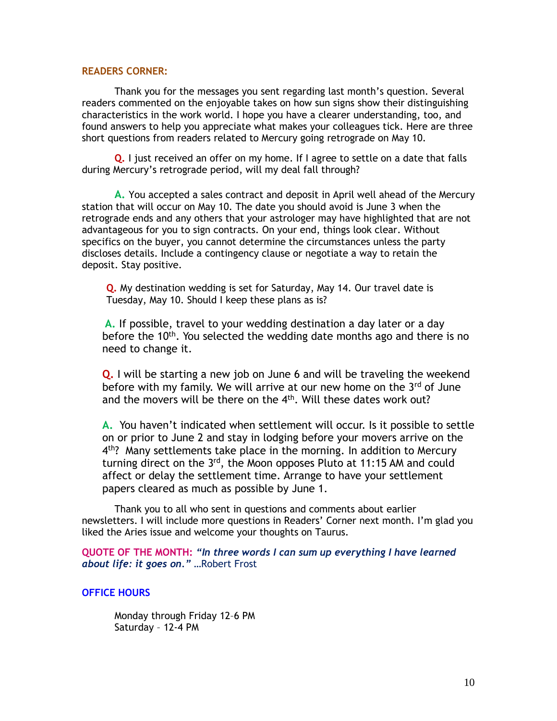### **READERS CORNER:**

Thank you for the messages you sent regarding last month's question. Several readers commented on the enjoyable takes on how sun signs show their distinguishing characteristics in the work world. I hope you have a clearer understanding, too, and found answers to help you appreciate what makes your colleagues tick. Here are three short questions from readers related to Mercury going retrograde on May 10.

**Q.** I just received an offer on my home. If I agree to settle on a date that falls during Mercury's retrograde period, will my deal fall through?

**A.** You accepted a sales contract and deposit in April well ahead of the Mercury station that will occur on May 10. The date you should avoid is June 3 when the retrograde ends and any others that your astrologer may have highlighted that are not advantageous for you to sign contracts. On your end, things look clear. Without specifics on the buyer, you cannot determine the circumstances unless the party discloses details. Include a contingency clause or negotiate a way to retain the deposit. Stay positive.

**Q.** My destination wedding is set for Saturday, May 14. Our travel date is Tuesday, May 10. Should I keep these plans as is?

**A.** If possible, travel to your wedding destination a day later or a day before the 10<sup>th</sup>. You selected the wedding date months ago and there is no need to change it.

**Q.** I will be starting a new job on June 6 and will be traveling the weekend before with my family. We will arrive at our new home on the  $3<sup>rd</sup>$  of June and the movers will be there on the 4<sup>th</sup>. Will these dates work out?

**A.** You haven't indicated when settlement will occur. Is it possible to settle on or prior to June 2 and stay in lodging before your movers arrive on the 4<sup>th</sup>? Many settlements take place in the morning. In addition to Mercury turning direct on the 3<sup>rd</sup>, the Moon opposes Pluto at 11:15 AM and could affect or delay the settlement time. Arrange to have your settlement papers cleared as much as possible by June 1.

Thank you to all who sent in questions and comments about earlier newsletters. I will include more questions in Readers' Corner next month. I'm glad you liked the Aries issue and welcome your thoughts on Taurus.

**QUOTE OF THE MONTH:** *"In three words I can sum up everything I have learned about life: it goes on."* …Robert Frost

## **OFFICE HOURS**

Monday through Friday 12–6 PM Saturday – 12-4 PM